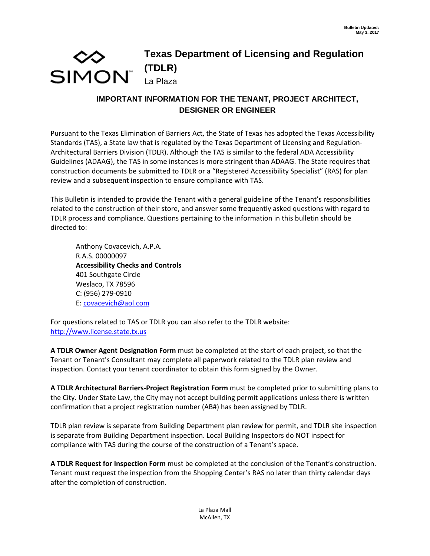## $\infty$ simon" **Texas Department of Licensing and Regulation (TDLR)**  La Plaza

## **IMPORTANT INFORMATION FOR THE TENANT, PROJECT ARCHITECT, DESIGNER OR ENGINEER**

Pursuant to the Texas Elimination of Barriers Act, the State of Texas has adopted the Texas Accessibility Standards (TAS), a State law that is regulated by the Texas Department of Licensing and Regulation‐ Architectural Barriers Division (TDLR). Although the TAS is similar to the federal ADA Accessibility Guidelines (ADAAG), the TAS in some instances is more stringent than ADAAG. The State requires that construction documents be submitted to TDLR or a "Registered Accessibility Specialist" (RAS) for plan review and a subsequent inspection to ensure compliance with TAS.

This Bulletin is intended to provide the Tenant with a general guideline of the Tenant's responsibilities related to the construction of their store, and answer some frequently asked questions with regard to TDLR process and compliance. Questions pertaining to the information in this bulletin should be directed to:

Anthony Covacevich, A.P.A. R.A.S. 00000097 **Accessibility Checks and Controls** 401 Southgate Circle Weslaco, TX 78596 C: (956) 279‐0910 E: covacevich@aol.com

For questions related to TAS or TDLR you can also refer to the TDLR website: http://www.license.state.tx.us

**A TDLR Owner Agent Designation Form** must be completed at the start of each project, so that the Tenant or Tenant's Consultant may complete all paperwork related to the TDLR plan review and inspection. Contact your tenant coordinator to obtain this form signed by the Owner.

**A TDLR Architectural Barriers‐Project Registration Form** must be completed prior to submitting plans to the City. Under State Law, the City may not accept building permit applications unless there is written confirmation that a project registration number (AB#) has been assigned by TDLR.

TDLR plan review is separate from Building Department plan review for permit, and TDLR site inspection is separate from Building Department inspection. Local Building Inspectors do NOT inspect for compliance with TAS during the course of the construction of a Tenant's space.

**A TDLR Request for Inspection Form** must be completed at the conclusion of the Tenant's construction. Tenant must request the inspection from the Shopping Center's RAS no later than thirty calendar days after the completion of construction.